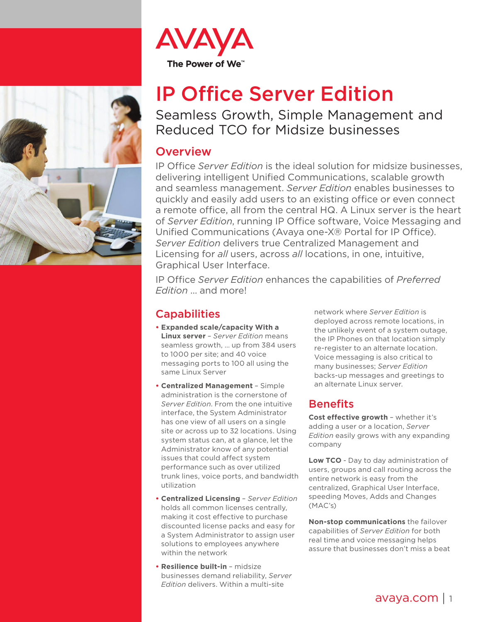



# IP Office Server Edition

Seamless Growth, Simple Management and Reduced TCO for Midsize businesses

## **Overview**

IP Office *Server Edition* is the ideal solution for midsize businesses, delivering intelligent Unified Communications, scalable growth and seamless management. *Server Edition* enables businesses to quickly and easily add users to an existing office or even connect a remote office, all from the central HQ. A Linux server is the heart of *Server Edition*, running IP Office software, Voice Messaging and Unified Communications (Avaya one-X® Portal for IP Office). *Server Edition* delivers true Centralized Management and Licensing for *all* users, across *all* locations, in one, intuitive, Graphical User Interface.

IP Office *Server Edition* enhances the capabilities of *Preferred Edition* … and more!

## **Capabilities**

- **• Expanded scale/capacity With a Linux server** – *Server Edition* means seamless growth, … up from 384 users to 1000 per site; and 40 voice messaging ports to 100 all using the same Linux Server
- **• Centralized Management** Simple administration is the cornerstone of *Server Edition*. From the one intuitive interface, the System Administrator has one view of all users on a single site or across up to 32 locations. Using system status can, at a glance, let the Administrator know of any potential issues that could affect system performance such as over utilized trunk lines, voice ports, and bandwidth utilization
- **• Centralized Licensing** *Server Edition*  holds all common licenses centrally, making it cost effective to purchase discounted license packs and easy for a System Administrator to assign user solutions to employees anywhere within the network
- **• Resilience built-in** midsize businesses demand reliability, *Server Edition* delivers. Within a multi-site

network where *Server Edition* is deployed across remote locations, in the unlikely event of a system outage, the IP Phones on that location simply re-register to an alternate location. Voice messaging is also critical to many businesses; *Server Edition* backs-up messages and greetings to an alternate Linux server.

## **Benefits**

**Cost effective growth** – whether it's adding a user or a location, *Server Edition* easily grows with any expanding company

**Low TCO** - Day to day administration of users, groups and call routing across the entire network is easy from the centralized, Graphical User Interface, speeding Moves, Adds and Changes (MAC's)

**Non-stop communications** the failover capabilities of *Server Edition* for both real time and voice messaging helps assure that businesses don't miss a beat